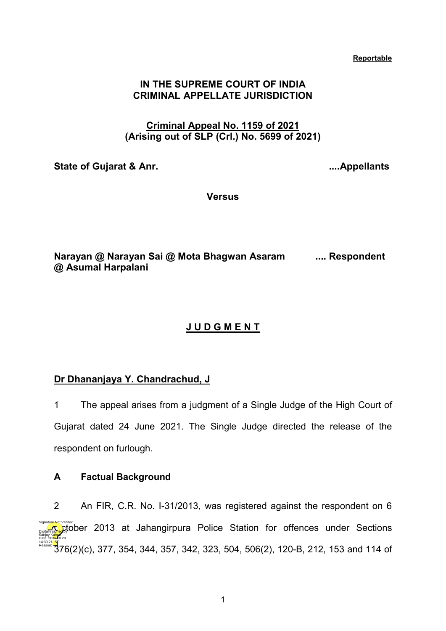#### **Reportable**

### **IN THE SUPREME COURT OF INDIA CRIMINAL APPELLATE JURISDICTION**

## **Criminal Appeal No. 1159 of 2021 (Arising out of SLP (Crl.) No. 5699 of 2021)**

**State of Gujarat & Anr. ....Appellants**

**Versus**

**Narayan @ Narayan Sai @ Mota Bhagwan Asaram .... Respondent @ Asumal Harpalani** 

# **J U D G M E N T**

# **Dr Dhananjaya Y. Chandrachud, J**

1 The appeal arises from a judgment of a Single Judge of the High Court of Gujarat dated 24 June 2021. The Single Judge directed the release of the respondent on furlough.

### **A Factual Background**

2 An FIR, C.R. No. I-31/2013, was registered against the respondent on 6 **Digitally Space Colum** 2013 at Jahangirpura Police Station for offences under Sections 1≗3024<mark>lisy</mark><br><sup>Reason</sup> 376(2)(c), 377, 354, 344, 357, 342, 323, 504, 506(2), 120-B, 212, 153 and 114 of Sanjay Kumar Date: 2024.10.20 Reason: Signature Not Verified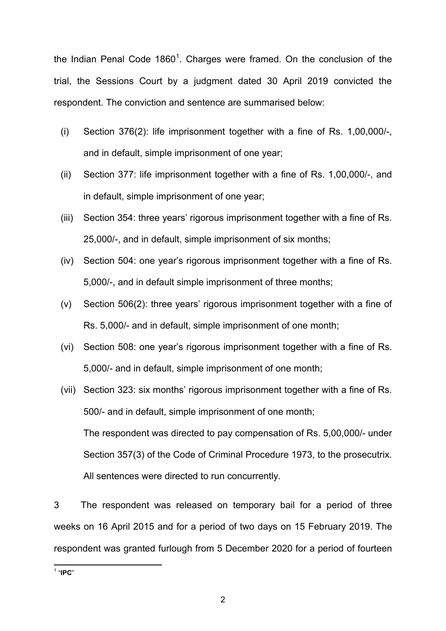the Indian Penal Code [1](#page-1-0)860<sup>1</sup>. Charges were framed. On the conclusion of the trial, the Sessions Court by a judgment dated 30 April 2019 convicted the respondent. The conviction and sentence are summarised below:

- (i) Section 376(2): life imprisonment together with a fine of Rs. 1,00,000/-, and in default, simple imprisonment of one year;
- (ii) Section 377: life imprisonment together with a fine of Rs. 1,00,000/-, and in default, simple imprisonment of one year;
- (iii) Section 354: three years' rigorous imprisonment together with a fine of Rs. 25,000/-, and in default, simple imprisonment of six months;
- (iv) Section 504: one year's rigorous imprisonment together with a fine of Rs. 5,000/-, and in default simple imprisonment of three months;
- (v) Section 506(2): three years' rigorous imprisonment together with a fine of Rs. 5,000/- and in default, simple imprisonment of one month;
- (vi) Section 508: one year's rigorous imprisonment together with a fine of Rs. 5,000/- and in default, simple imprisonment of one month;
- (vii) Section 323: six months' rigorous imprisonment together with a fine of Rs. 500/- and in default, simple imprisonment of one month; The respondent was directed to pay compensation of Rs. 5,00,000/- under Section 357(3) of the Code of Criminal Procedure 1973, to the prosecutrix. All sentences were directed to run concurrently.

3 The respondent was released on temporary bail for a period of three weeks on 16 April 2015 and for a period of two days on 15 February 2019. The respondent was granted furlough from 5 December 2020 for a period of fourteen

<span id="page-1-0"></span>1 "**IPC**"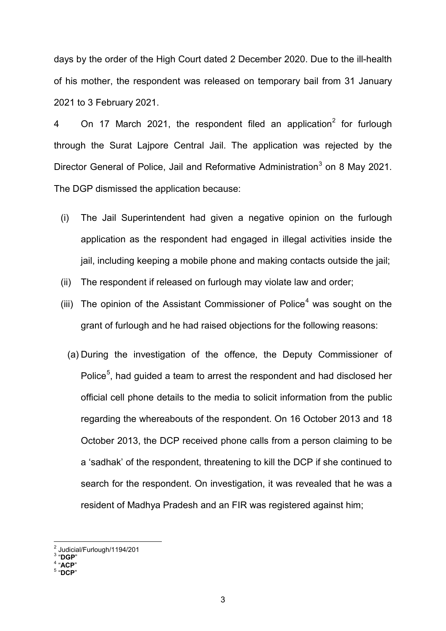days by the order of the High Court dated 2 December 2020. Due to the ill-health of his mother, the respondent was released on temporary bail from 31 January 2021 to 3 February 2021.

4 On 17 March [2](#page-2-0)021, the respondent filed an application<sup>2</sup> for furlough through the Surat Lajpore Central Jail. The application was rejected by the Director General of Police, Jail and Reformative Administration<sup>[3](#page-2-1)</sup> on 8 May 2021. The DGP dismissed the application because:

- (i) The Jail Superintendent had given a negative opinion on the furlough application as the respondent had engaged in illegal activities inside the jail, including keeping a mobile phone and making contacts outside the jail;
- (ii) The respondent if released on furlough may violate law and order;
- (iii) The opinion of the Assistant Commissioner of Police<sup>[4](#page-2-2)</sup> was sought on the grant of furlough and he had raised objections for the following reasons:
	- (a) During the investigation of the offence, the Deputy Commissioner of Police<sup>[5](#page-2-3)</sup>, had guided a team to arrest the respondent and had disclosed her official cell phone details to the media to solicit information from the public regarding the whereabouts of the respondent. On 16 October 2013 and 18 October 2013, the DCP received phone calls from a person claiming to be a 'sadhak' of the respondent, threatening to kill the DCP if she continued to search for the respondent. On investigation, it was revealed that he was a resident of Madhya Pradesh and an FIR was registered against him;

<sup>2</sup> Judicial/Furlough/1194/201 <sup>3</sup> "**DGP**" <sup>4</sup> "**ACP**" <sup>5</sup> "**DCP**"

<span id="page-2-2"></span><span id="page-2-1"></span><span id="page-2-0"></span>

<span id="page-2-3"></span>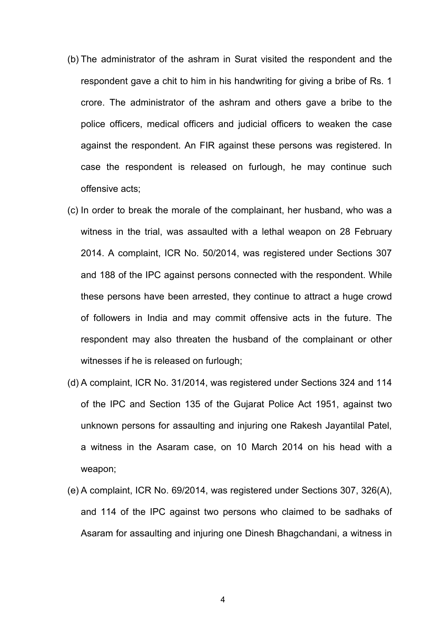- (b) The administrator of the ashram in Surat visited the respondent and the respondent gave a chit to him in his handwriting for giving a bribe of Rs. 1 crore. The administrator of the ashram and others gave a bribe to the police officers, medical officers and judicial officers to weaken the case against the respondent. An FIR against these persons was registered. In case the respondent is released on furlough, he may continue such offensive acts;
- (c) In order to break the morale of the complainant, her husband, who was a witness in the trial, was assaulted with a lethal weapon on 28 February 2014. A complaint, ICR No. 50/2014, was registered under Sections 307 and 188 of the IPC against persons connected with the respondent. While these persons have been arrested, they continue to attract a huge crowd of followers in India and may commit offensive acts in the future. The respondent may also threaten the husband of the complainant or other witnesses if he is released on furlough;
- (d) A complaint, ICR No. 31/2014, was registered under Sections 324 and 114 of the IPC and Section 135 of the Gujarat Police Act 1951, against two unknown persons for assaulting and injuring one Rakesh Jayantilal Patel, a witness in the Asaram case, on 10 March 2014 on his head with a weapon;
- (e) A complaint, ICR No. 69/2014, was registered under Sections 307, 326(A), and 114 of the IPC against two persons who claimed to be sadhaks of Asaram for assaulting and injuring one Dinesh Bhagchandani, a witness in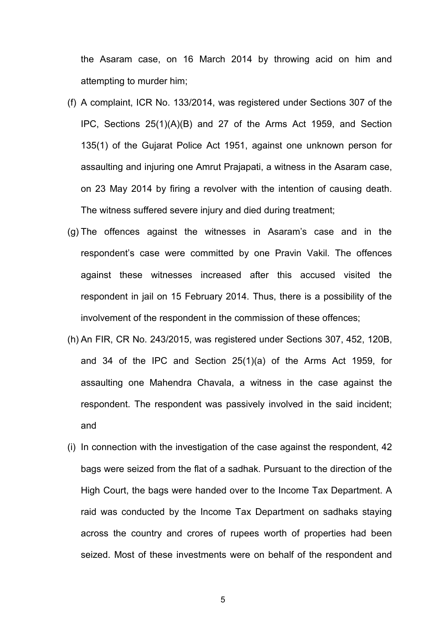the Asaram case, on 16 March 2014 by throwing acid on him and attempting to murder him;

- (f) A complaint, ICR No. 133/2014, was registered under Sections 307 of the IPC, Sections 25(1)(A)(B) and 27 of the Arms Act 1959, and Section 135(1) of the Gujarat Police Act 1951, against one unknown person for assaulting and injuring one Amrut Prajapati, a witness in the Asaram case, on 23 May 2014 by firing a revolver with the intention of causing death. The witness suffered severe injury and died during treatment;
- (g) The offences against the witnesses in Asaram's case and in the respondent's case were committed by one Pravin Vakil. The offences against these witnesses increased after this accused visited the respondent in jail on 15 February 2014. Thus, there is a possibility of the involvement of the respondent in the commission of these offences;
- (h) An FIR, CR No. 243/2015, was registered under Sections 307, 452, 120B, and 34 of the IPC and Section 25(1)(a) of the Arms Act 1959, for assaulting one Mahendra Chavala, a witness in the case against the respondent. The respondent was passively involved in the said incident; and
- (i) In connection with the investigation of the case against the respondent, 42 bags were seized from the flat of a sadhak. Pursuant to the direction of the High Court, the bags were handed over to the Income Tax Department. A raid was conducted by the Income Tax Department on sadhaks staying across the country and crores of rupees worth of properties had been seized. Most of these investments were on behalf of the respondent and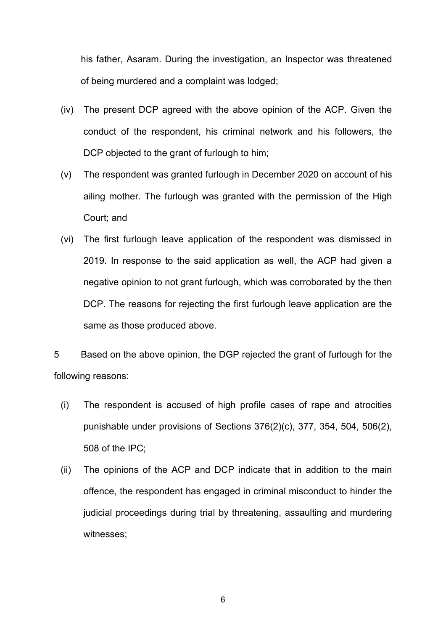his father, Asaram. During the investigation, an Inspector was threatened of being murdered and a complaint was lodged;

- (iv) The present DCP agreed with the above opinion of the ACP. Given the conduct of the respondent, his criminal network and his followers, the DCP objected to the grant of furlough to him;
- (v) The respondent was granted furlough in December 2020 on account of his ailing mother. The furlough was granted with the permission of the High Court; and
- (vi) The first furlough leave application of the respondent was dismissed in 2019. In response to the said application as well, the ACP had given a negative opinion to not grant furlough, which was corroborated by the then DCP. The reasons for rejecting the first furlough leave application are the same as those produced above.

5 Based on the above opinion, the DGP rejected the grant of furlough for the following reasons:

- (i) The respondent is accused of high profile cases of rape and atrocities punishable under provisions of Sections 376(2)(c), 377, 354, 504, 506(2), 508 of the IPC;
- (ii) The opinions of the ACP and DCP indicate that in addition to the main offence, the respondent has engaged in criminal misconduct to hinder the judicial proceedings during trial by threatening, assaulting and murdering witnesses;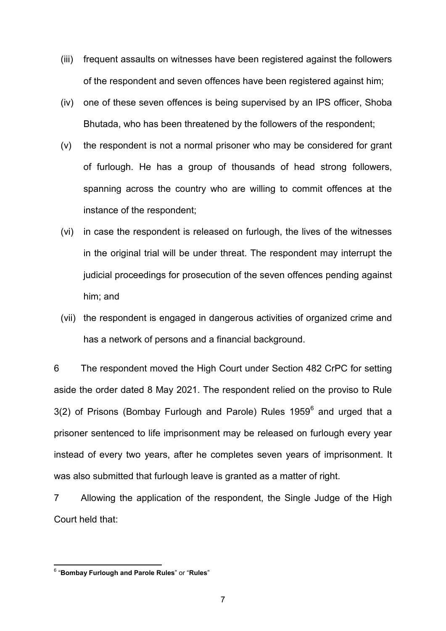- (iii) frequent assaults on witnesses have been registered against the followers of the respondent and seven offences have been registered against him;
- (iv) one of these seven offences is being supervised by an IPS officer, Shoba Bhutada, who has been threatened by the followers of the respondent;
- (v) the respondent is not a normal prisoner who may be considered for grant of furlough. He has a group of thousands of head strong followers, spanning across the country who are willing to commit offences at the instance of the respondent;
- (vi) in case the respondent is released on furlough, the lives of the witnesses in the original trial will be under threat. The respondent may interrupt the judicial proceedings for prosecution of the seven offences pending against him; and
- (vii) the respondent is engaged in dangerous activities of organized crime and has a network of persons and a financial background.

6 The respondent moved the High Court under Section 482 CrPC for setting aside the order dated 8 May 2021. The respondent relied on the proviso to Rule 3(2) of Prisons (Bombay Furlough and Parole) Rules 1959<sup>[6](#page-6-0)</sup> and urged that a prisoner sentenced to life imprisonment may be released on furlough every year instead of every two years, after he completes seven years of imprisonment. It was also submitted that furlough leave is granted as a matter of right.

7 Allowing the application of the respondent, the Single Judge of the High Court held that:

<span id="page-6-0"></span> <sup>6</sup> "**Bombay Furlough and Parole Rules**" or "**Rules**"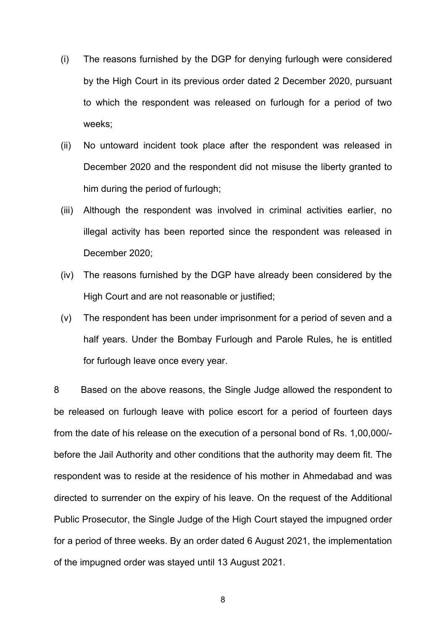- (i) The reasons furnished by the DGP for denying furlough were considered by the High Court in its previous order dated 2 December 2020, pursuant to which the respondent was released on furlough for a period of two weeks;
- (ii) No untoward incident took place after the respondent was released in December 2020 and the respondent did not misuse the liberty granted to him during the period of furlough;
- (iii) Although the respondent was involved in criminal activities earlier, no illegal activity has been reported since the respondent was released in December 2020;
- (iv) The reasons furnished by the DGP have already been considered by the High Court and are not reasonable or justified;
- (v) The respondent has been under imprisonment for a period of seven and a half years. Under the Bombay Furlough and Parole Rules, he is entitled for furlough leave once every year.

8 Based on the above reasons, the Single Judge allowed the respondent to be released on furlough leave with police escort for a period of fourteen days from the date of his release on the execution of a personal bond of Rs. 1,00,000/ before the Jail Authority and other conditions that the authority may deem fit. The respondent was to reside at the residence of his mother in Ahmedabad and was directed to surrender on the expiry of his leave. On the request of the Additional Public Prosecutor, the Single Judge of the High Court stayed the impugned order for a period of three weeks. By an order dated 6 August 2021, the implementation of the impugned order was stayed until 13 August 2021.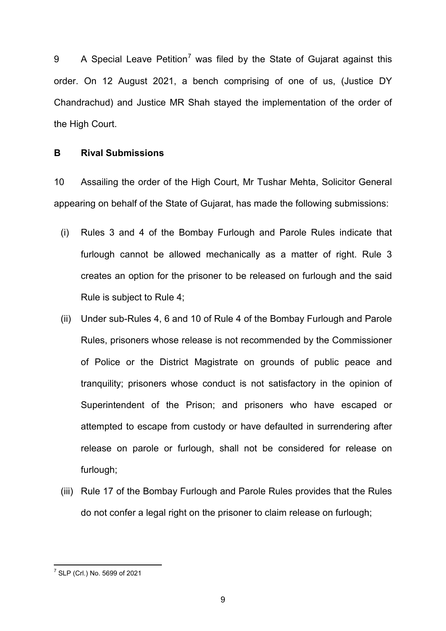9 A Special Leave Petition<sup>[7](#page-8-0)</sup> was filed by the State of Gujarat against this order. On 12 August 2021, a bench comprising of one of us, (Justice DY Chandrachud) and Justice MR Shah stayed the implementation of the order of the High Court.

### **B Rival Submissions**

10 Assailing the order of the High Court, Mr Tushar Mehta, Solicitor General appearing on behalf of the State of Gujarat, has made the following submissions:

- (i) Rules 3 and 4 of the Bombay Furlough and Parole Rules indicate that furlough cannot be allowed mechanically as a matter of right. Rule 3 creates an option for the prisoner to be released on furlough and the said Rule is subject to Rule 4;
- (ii) Under sub-Rules 4, 6 and 10 of Rule 4 of the Bombay Furlough and Parole Rules, prisoners whose release is not recommended by the Commissioner of Police or the District Magistrate on grounds of public peace and tranquility; prisoners whose conduct is not satisfactory in the opinion of Superintendent of the Prison; and prisoners who have escaped or attempted to escape from custody or have defaulted in surrendering after release on parole or furlough, shall not be considered for release on furlough;
- (iii) Rule 17 of the Bombay Furlough and Parole Rules provides that the Rules do not confer a legal right on the prisoner to claim release on furlough:

<span id="page-8-0"></span> <sup>7</sup> SLP (Crl.) No. 5699 of 2021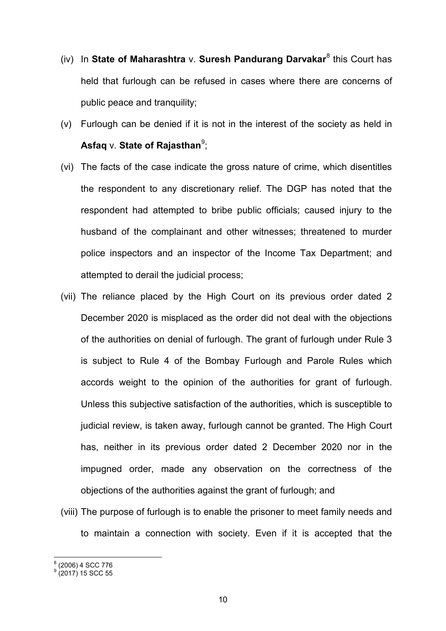- (iv) In **State of Maharashtra** v. **Suresh Pandurang Darvakar**[8](#page-9-0) this Court has held that furlough can be refused in cases where there are concerns of public peace and tranquility;
- (v) Furlough can be denied if it is not in the interest of the society as held in **Asfaq ∨.** State of Rajasthan<sup>[9](#page-9-1)</sup>;
- (vi) The facts of the case indicate the gross nature of crime, which disentitles the respondent to any discretionary relief. The DGP has noted that the respondent had attempted to bribe public officials; caused injury to the husband of the complainant and other witnesses; threatened to murder police inspectors and an inspector of the Income Tax Department; and attempted to derail the judicial process;
- (vii) The reliance placed by the High Court on its previous order dated 2 December 2020 is misplaced as the order did not deal with the objections of the authorities on denial of furlough. The grant of furlough under Rule 3 is subject to Rule 4 of the Bombay Furlough and Parole Rules which accords weight to the opinion of the authorities for grant of furlough. Unless this subjective satisfaction of the authorities, which is susceptible to judicial review, is taken away, furlough cannot be granted. The High Court has, neither in its previous order dated 2 December 2020 nor in the impugned order, made any observation on the correctness of the objections of the authorities against the grant of furlough; and
- (viii) The purpose of furlough is to enable the prisoner to meet family needs and to maintain a connection with society. Even if it is accepted that the

<span id="page-9-0"></span> $<sup>8</sup>$  (2006) 4 SCC 776<br> $<sup>9</sup>$  (2017) 15 SCC 55</sup></sup>

<span id="page-9-1"></span>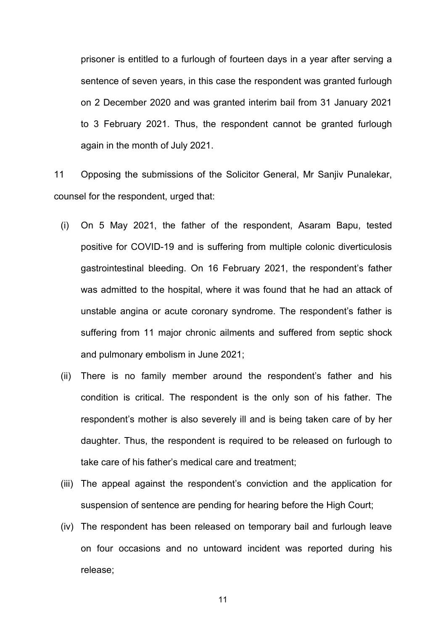prisoner is entitled to a furlough of fourteen days in a year after serving a sentence of seven years, in this case the respondent was granted furlough on 2 December 2020 and was granted interim bail from 31 January 2021 to 3 February 2021. Thus, the respondent cannot be granted furlough again in the month of July 2021.

11 Opposing the submissions of the Solicitor General, Mr Sanjiv Punalekar, counsel for the respondent, urged that:

- (i) On 5 May 2021, the father of the respondent, Asaram Bapu, tested positive for COVID-19 and is suffering from multiple colonic diverticulosis gastrointestinal bleeding. On 16 February 2021, the respondent's father was admitted to the hospital, where it was found that he had an attack of unstable angina or acute coronary syndrome. The respondent's father is suffering from 11 major chronic ailments and suffered from septic shock and pulmonary embolism in June 2021;
- (ii) There is no family member around the respondent's father and his condition is critical. The respondent is the only son of his father. The respondent's mother is also severely ill and is being taken care of by her daughter. Thus, the respondent is required to be released on furlough to take care of his father's medical care and treatment;
- (iii) The appeal against the respondent's conviction and the application for suspension of sentence are pending for hearing before the High Court;
- (iv) The respondent has been released on temporary bail and furlough leave on four occasions and no untoward incident was reported during his release;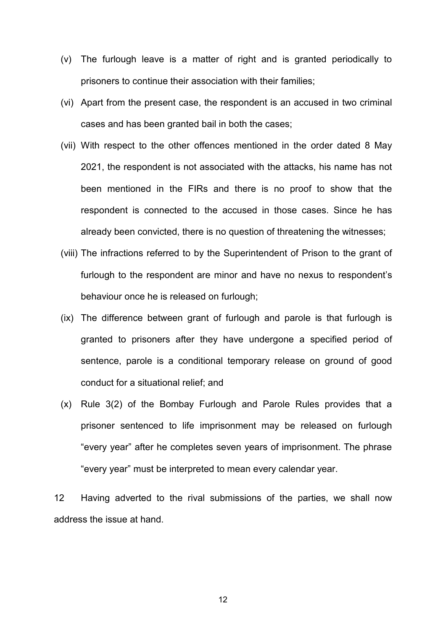- (v) The furlough leave is a matter of right and is granted periodically to prisoners to continue their association with their families;
- (vi) Apart from the present case, the respondent is an accused in two criminal cases and has been granted bail in both the cases;
- (vii) With respect to the other offences mentioned in the order dated 8 May 2021, the respondent is not associated with the attacks, his name has not been mentioned in the FIRs and there is no proof to show that the respondent is connected to the accused in those cases. Since he has already been convicted, there is no question of threatening the witnesses;
- (viii) The infractions referred to by the Superintendent of Prison to the grant of furlough to the respondent are minor and have no nexus to respondent's behaviour once he is released on furlough;
- (ix) The difference between grant of furlough and parole is that furlough is granted to prisoners after they have undergone a specified period of sentence, parole is a conditional temporary release on ground of good conduct for a situational relief; and
- (x) Rule 3(2) of the Bombay Furlough and Parole Rules provides that a prisoner sentenced to life imprisonment may be released on furlough "every year" after he completes seven years of imprisonment. The phrase "every year" must be interpreted to mean every calendar year.

12 Having adverted to the rival submissions of the parties, we shall now address the issue at hand.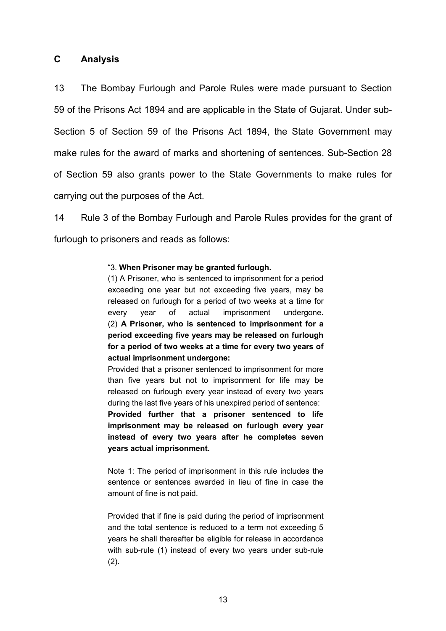### **C Analysis**

13 The Bombay Furlough and Parole Rules were made pursuant to Section 59 of the Prisons Act 1894 and are applicable in the State of Gujarat. Under sub-Section 5 of Section 59 of the Prisons Act 1894, the State Government may make rules for the award of marks and shortening of sentences. Sub-Section 28 of Section 59 also grants power to the State Governments to make rules for carrying out the purposes of the Act.

14 Rule 3 of the Bombay Furlough and Parole Rules provides for the grant of furlough to prisoners and reads as follows:

#### "3. **When Prisoner may be granted furlough.**

(1) A Prisoner, who is sentenced to imprisonment for a period exceeding one year but not exceeding five years, may be released on furlough for a period of two weeks at a time for every year of actual imprisonment undergone. (2) **A Prisoner, who is sentenced to imprisonment for a period exceeding five years may be released on furlough for a period of two weeks at a time for every two years of actual imprisonment undergone:**

Provided that a prisoner sentenced to imprisonment for more than five years but not to imprisonment for life may be released on furlough every year instead of every two years during the last five years of his unexpired period of sentence: **Provided further that a prisoner sentenced to life imprisonment may be released on furlough every year instead of every two years after he completes seven years actual imprisonment.**

Note 1: The period of imprisonment in this rule includes the sentence or sentences awarded in lieu of fine in case the amount of fine is not paid.

Provided that if fine is paid during the period of imprisonment and the total sentence is reduced to a term not exceeding 5 years he shall thereafter be eligible for release in accordance with sub-rule (1) instead of every two years under sub-rule (2).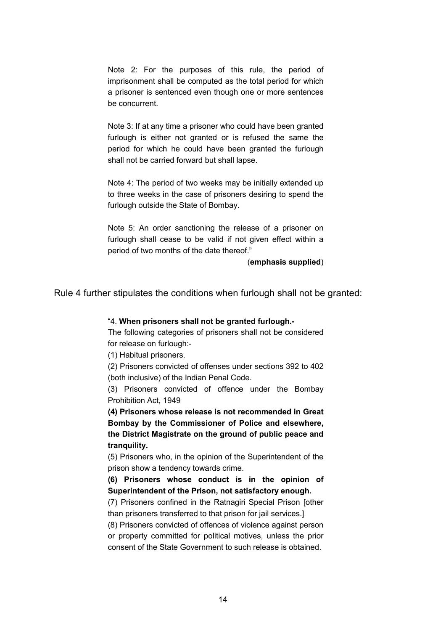Note 2: For the purposes of this rule, the period of imprisonment shall be computed as the total period for which a prisoner is sentenced even though one or more sentences be concurrent.

Note 3: If at any time a prisoner who could have been granted furlough is either not granted or is refused the same the period for which he could have been granted the furlough shall not be carried forward but shall lapse.

Note 4: The period of two weeks may be initially extended up to three weeks in the case of prisoners desiring to spend the furlough outside the State of Bombay.

Note 5: An order sanctioning the release of a prisoner on furlough shall cease to be valid if not given effect within a period of two months of the date thereof."

(**emphasis supplied**)

Rule 4 further stipulates the conditions when furlough shall not be granted:

#### "4. **When prisoners shall not be granted furlough.-**

The following categories of prisoners shall not be considered for release on furlough:-

(1) Habitual prisoners.

(2) Prisoners convicted of offenses under sections 392 to 402 (both inclusive) of the Indian Penal Code.

(3) Prisoners convicted of offence under the Bombay Prohibition Act, 1949

**(4) Prisoners whose release is not recommended in Great Bombay by the Commissioner of Police and elsewhere, the District Magistrate on the ground of public peace and tranquility.** 

(5) Prisoners who, in the opinion of the Superintendent of the prison show a tendency towards crime.

**(6) Prisoners whose conduct is in the opinion of Superintendent of the Prison, not satisfactory enough.** 

(7) Prisoners confined in the Ratnagiri Special Prison [other than prisoners transferred to that prison for jail services.]

(8) Prisoners convicted of offences of violence against person or property committed for political motives, unless the prior consent of the State Government to such release is obtained.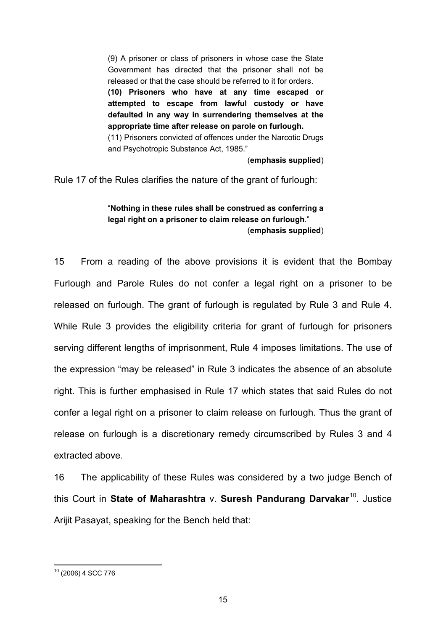(9) A prisoner or class of prisoners in whose case the State Government has directed that the prisoner shall not be released or that the case should be referred to it for orders. **(10) Prisoners who have at any time escaped or attempted to escape from lawful custody or have defaulted in any way in surrendering themselves at the appropriate time after release on parole on furlough.**  (11) Prisoners convicted of offences under the Narcotic Drugs and Psychotropic Substance Act, 1985."

(**emphasis supplied**)

Rule 17 of the Rules clarifies the nature of the grant of furlough:

### "**Nothing in these rules shall be construed as conferring a legal right on a prisoner to claim release on furlough**." (**emphasis supplied**)

15 From a reading of the above provisions it is evident that the Bombay Furlough and Parole Rules do not confer a legal right on a prisoner to be released on furlough. The grant of furlough is regulated by Rule 3 and Rule 4. While Rule 3 provides the eligibility criteria for grant of furlough for prisoners serving different lengths of imprisonment, Rule 4 imposes limitations. The use of the expression "may be released" in Rule 3 indicates the absence of an absolute right. This is further emphasised in Rule 17 which states that said Rules do not confer a legal right on a prisoner to claim release on furlough. Thus the grant of release on furlough is a discretionary remedy circumscribed by Rules 3 and 4 extracted above.

16 The applicability of these Rules was considered by a two judge Bench of this Court in **State of Maharashtra** v. **Suresh Pandurang Darvakar**[10.](#page-14-0) Justice Arijit Pasayat, speaking for the Bench held that:

<span id="page-14-0"></span> <sup>10</sup> (2006) 4 SCC 776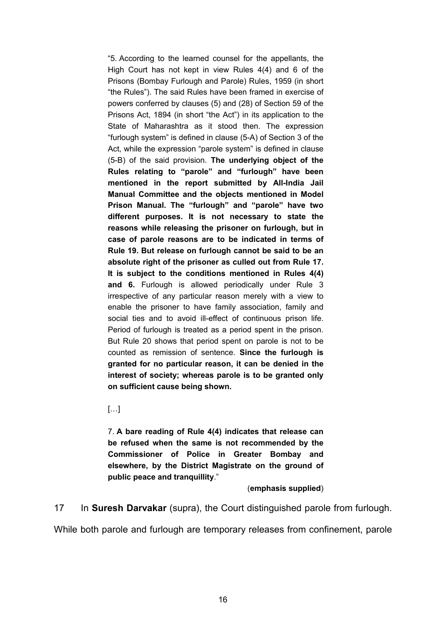"5. According to the learned counsel for the appellants, the High Court has not kept in view Rules 4(4) and 6 of the Prisons (Bombay Furlough and Parole) Rules, 1959 (in short "the Rules"). The said Rules have been framed in exercise of powers conferred by clauses (5) and (28) of Section 59 of the Prisons Act, 1894 (in short "the Act") in its application to the State of Maharashtra as it stood then. The expression "furlough system" is defined in clause (5-A) of Section 3 of the Act, while the expression "parole system" is defined in clause (5-B) of the said provision. **The underlying object of the Rules relating to "parole" and "furlough" have been mentioned in the report submitted by All-India Jail Manual Committee and the objects mentioned in Model Prison Manual. The "furlough" and "parole" have two different purposes. It is not necessary to state the reasons while releasing the prisoner on furlough, but in case of parole reasons are to be indicated in terms of Rule 19. But release on furlough cannot be said to be an absolute right of the prisoner as culled out from Rule 17. It is subject to the conditions mentioned in Rules 4(4) and 6.** Furlough is allowed periodically under Rule 3 irrespective of any particular reason merely with a view to enable the prisoner to have family association, family and social ties and to avoid ill-effect of continuous prison life. Period of furlough is treated as a period spent in the prison. But Rule 20 shows that period spent on parole is not to be counted as remission of sentence. **Since the furlough is granted for no particular reason, it can be denied in the interest of society; whereas parole is to be granted only on sufficient cause being shown.**

[…]

7. **A bare reading of Rule 4(4) indicates that release can be refused when the same is not recommended by the Commissioner of Police in Greater Bombay and elsewhere, by the District Magistrate on the ground of public peace and tranquillity**."

#### (**emphasis supplied**)

17 In **Suresh Darvakar** (supra), the Court distinguished parole from furlough.

While both parole and furlough are temporary releases from confinement, parole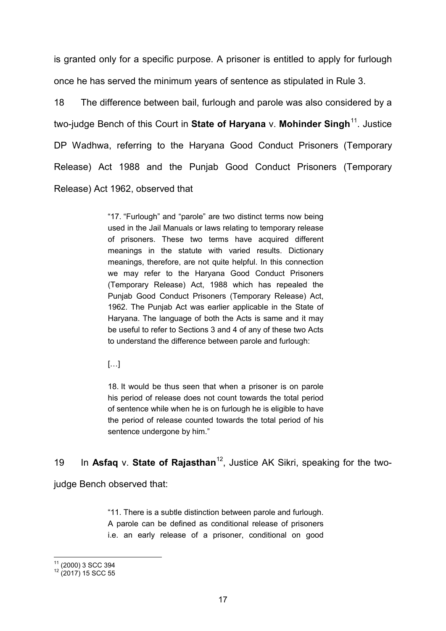is granted only for a specific purpose. A prisoner is entitled to apply for furlough once he has served the minimum years of sentence as stipulated in Rule 3.

18 The difference between bail, furlough and parole was also considered by a two-judge Bench of this Court in **State of Haryana** v. **Mohinder Singh**[11](#page-16-0). Justice DP Wadhwa, referring to the Haryana Good Conduct Prisoners (Temporary Release) Act 1988 and the Punjab Good Conduct Prisoners (Temporary Release) Act 1962, observed that

> "17. "Furlough" and "parole" are two distinct terms now being used in the Jail Manuals or laws relating to temporary release of prisoners. These two terms have acquired different meanings in the statute with varied results. Dictionary meanings, therefore, are not quite helpful. In this connection we may refer to the Haryana Good Conduct Prisoners (Temporary Release) Act, 1988 which has repealed the Punjab Good Conduct Prisoners (Temporary Release) Act, 1962. The Punjab Act was earlier applicable in the State of Haryana. The language of both the Acts is same and it may be useful to refer to Sections 3 and 4 of any of these two Acts to understand the difference between parole and furlough:

 $\left[\ldots\right]$ 

18. It would be thus seen that when a prisoner is on parole his period of release does not count towards the total period of sentence while when he is on furlough he is eligible to have the period of release counted towards the total period of his sentence undergone by him."

19 In **Asfaq** v. **State of Rajasthan**[12,](#page-16-1) Justice AK Sikri, speaking for the two-

judge Bench observed that:

"11. There is a subtle distinction between parole and furlough. A parole can be defined as conditional release of prisoners i.e. an early release of a prisoner, conditional on good

<span id="page-16-1"></span><span id="page-16-0"></span> $\frac{11}{12}$  (2000) 3 SCC 394<br> $\frac{12}{12}$  (2017) 15 SCC 55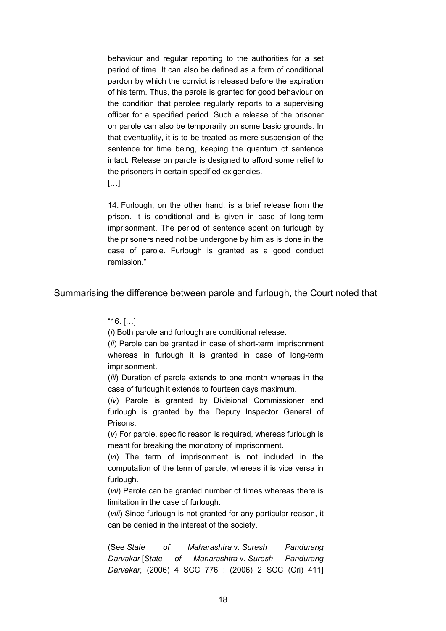behaviour and regular reporting to the authorities for a set period of time. It can also be defined as a form of conditional pardon by which the convict is released before the expiration of his term. Thus, the parole is granted for good behaviour on the condition that parolee regularly reports to a supervising officer for a specified period. Such a release of the prisoner on parole can also be temporarily on some basic grounds. In that eventuality, it is to be treated as mere suspension of the sentence for time being, keeping the quantum of sentence intact. Release on parole is designed to afford some relief to the prisoners in certain specified exigencies.

 $\left[\ldots\right]$ 

14. Furlough, on the other hand, is a brief release from the prison. It is conditional and is given in case of long-term imprisonment. The period of sentence spent on furlough by the prisoners need not be undergone by him as is done in the case of parole. Furlough is granted as a good conduct remission."

Summarising the difference between parole and furlough, the Court noted that

"16. […]

(*i*) Both parole and furlough are conditional release.

(*ii*) Parole can be granted in case of short-term imprisonment whereas in furlough it is granted in case of long-term imprisonment.

(*iii*) Duration of parole extends to one month whereas in the case of furlough it extends to fourteen days maximum.

(*iv*) Parole is granted by Divisional Commissioner and furlough is granted by the Deputy Inspector General of Prisons.

(*v*) For parole, specific reason is required, whereas furlough is meant for breaking the monotony of imprisonment.

(*vi*) The term of imprisonment is not included in the computation of the term of parole, whereas it is vice versa in furlough.

(*vii*) Parole can be granted number of times whereas there is limitation in the case of furlough.

(*viii*) Since furlough is not granted for any particular reason, it can be denied in the interest of the society.

(See *State of Maharashtra* v. *Suresh Pandurang Darvakar* [*State of Maharashtra* v. *Suresh Pandurang Darvakar*, (2006) 4 SCC 776 : (2006) 2 SCC (Cri) 411]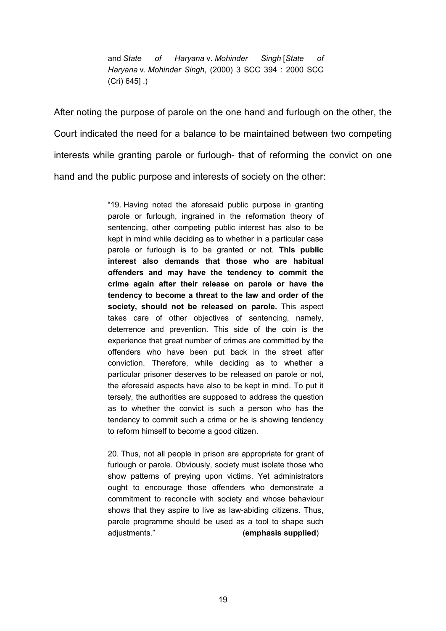and *State of Haryana* v. *Mohinder Singh* [*State of Haryana* v. *Mohinder Singh*, (2000) 3 SCC 394 : 2000 SCC (Cri) 645] .)

After noting the purpose of parole on the one hand and furlough on the other, the Court indicated the need for a balance to be maintained between two competing interests while granting parole or furlough- that of reforming the convict on one hand and the public purpose and interests of society on the other:

> "19. Having noted the aforesaid public purpose in granting parole or furlough, ingrained in the reformation theory of sentencing, other competing public interest has also to be kept in mind while deciding as to whether in a particular case parole or furlough is to be granted or not. **This public interest also demands that those who are habitual offenders and may have the tendency to commit the crime again after their release on parole or have the tendency to become a threat to the law and order of the society, should not be released on parole.** This aspect takes care of other objectives of sentencing, namely, deterrence and prevention. This side of the coin is the experience that great number of crimes are committed by the offenders who have been put back in the street after conviction. Therefore, while deciding as to whether a particular prisoner deserves to be released on parole or not, the aforesaid aspects have also to be kept in mind. To put it tersely, the authorities are supposed to address the question as to whether the convict is such a person who has the tendency to commit such a crime or he is showing tendency to reform himself to become a good citizen.

> 20. Thus, not all people in prison are appropriate for grant of furlough or parole. Obviously, society must isolate those who show patterns of preying upon victims. Yet administrators ought to encourage those offenders who demonstrate a commitment to reconcile with society and whose behaviour shows that they aspire to live as law-abiding citizens. Thus, parole programme should be used as a tool to shape such adjustments." (**emphasis supplied**)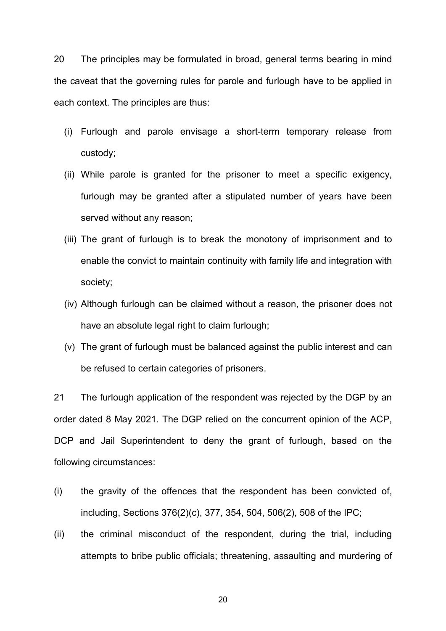20 The principles may be formulated in broad, general terms bearing in mind the caveat that the governing rules for parole and furlough have to be applied in each context. The principles are thus:

- (i) Furlough and parole envisage a short-term temporary release from custody;
- (ii) While parole is granted for the prisoner to meet a specific exigency, furlough may be granted after a stipulated number of years have been served without any reason;
- (iii) The grant of furlough is to break the monotony of imprisonment and to enable the convict to maintain continuity with family life and integration with society;
- (iv) Although furlough can be claimed without a reason, the prisoner does not have an absolute legal right to claim furlough;
- (v) The grant of furlough must be balanced against the public interest and can be refused to certain categories of prisoners.

21 The furlough application of the respondent was rejected by the DGP by an order dated 8 May 2021. The DGP relied on the concurrent opinion of the ACP, DCP and Jail Superintendent to deny the grant of furlough, based on the following circumstances:

- (i) the gravity of the offences that the respondent has been convicted of, including, Sections 376(2)(c), 377, 354, 504, 506(2), 508 of the IPC;
- (ii) the criminal misconduct of the respondent, during the trial, including attempts to bribe public officials; threatening, assaulting and murdering of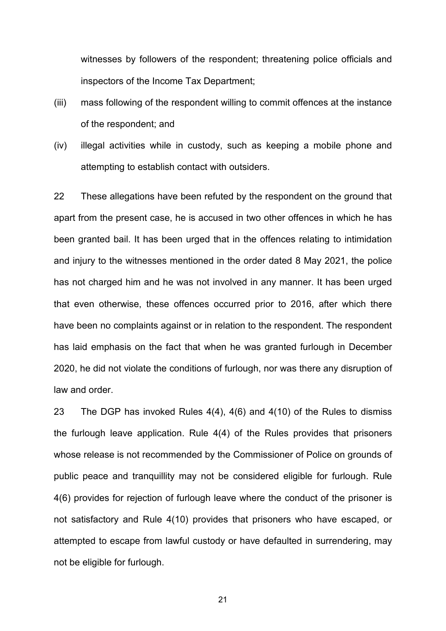witnesses by followers of the respondent; threatening police officials and inspectors of the Income Tax Department;

- (iii) mass following of the respondent willing to commit offences at the instance of the respondent; and
- (iv) illegal activities while in custody, such as keeping a mobile phone and attempting to establish contact with outsiders.

22 These allegations have been refuted by the respondent on the ground that apart from the present case, he is accused in two other offences in which he has been granted bail. It has been urged that in the offences relating to intimidation and injury to the witnesses mentioned in the order dated 8 May 2021, the police has not charged him and he was not involved in any manner. It has been urged that even otherwise, these offences occurred prior to 2016, after which there have been no complaints against or in relation to the respondent. The respondent has laid emphasis on the fact that when he was granted furlough in December 2020, he did not violate the conditions of furlough, nor was there any disruption of law and order.

23 The DGP has invoked Rules 4(4), 4(6) and 4(10) of the Rules to dismiss the furlough leave application. Rule 4(4) of the Rules provides that prisoners whose release is not recommended by the Commissioner of Police on grounds of public peace and tranquillity may not be considered eligible for furlough. Rule 4(6) provides for rejection of furlough leave where the conduct of the prisoner is not satisfactory and Rule 4(10) provides that prisoners who have escaped, or attempted to escape from lawful custody or have defaulted in surrendering, may not be eligible for furlough.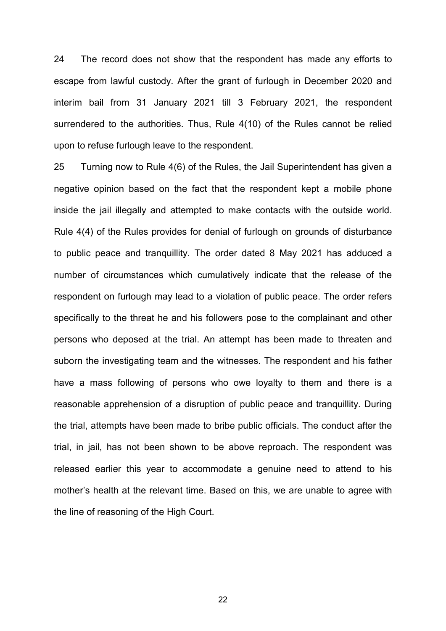24 The record does not show that the respondent has made any efforts to escape from lawful custody. After the grant of furlough in December 2020 and interim bail from 31 January 2021 till 3 February 2021, the respondent surrendered to the authorities. Thus, Rule 4(10) of the Rules cannot be relied upon to refuse furlough leave to the respondent.

25 Turning now to Rule 4(6) of the Rules, the Jail Superintendent has given a negative opinion based on the fact that the respondent kept a mobile phone inside the jail illegally and attempted to make contacts with the outside world. Rule 4(4) of the Rules provides for denial of furlough on grounds of disturbance to public peace and tranquillity. The order dated 8 May 2021 has adduced a number of circumstances which cumulatively indicate that the release of the respondent on furlough may lead to a violation of public peace. The order refers specifically to the threat he and his followers pose to the complainant and other persons who deposed at the trial. An attempt has been made to threaten and suborn the investigating team and the witnesses. The respondent and his father have a mass following of persons who owe loyalty to them and there is a reasonable apprehension of a disruption of public peace and tranquillity. During the trial, attempts have been made to bribe public officials. The conduct after the trial, in jail, has not been shown to be above reproach. The respondent was released earlier this year to accommodate a genuine need to attend to his mother's health at the relevant time. Based on this, we are unable to agree with the line of reasoning of the High Court.